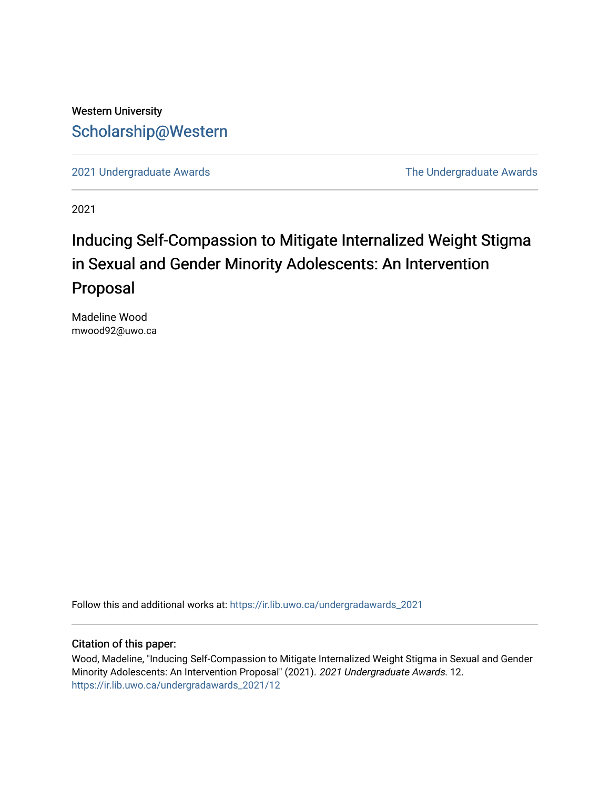## Western University [Scholarship@Western](https://ir.lib.uwo.ca/)

[2021 Undergraduate Awards](https://ir.lib.uwo.ca/undergradawards_2021) [The Undergraduate Awards](https://ir.lib.uwo.ca/ungradawards) 

2021

# Inducing Self-Compassion to Mitigate Internalized Weight Stigma in Sexual and Gender Minority Adolescents: An Intervention Proposal

Madeline Wood mwood92@uwo.ca

Follow this and additional works at: [https://ir.lib.uwo.ca/undergradawards\\_2021](https://ir.lib.uwo.ca/undergradawards_2021?utm_source=ir.lib.uwo.ca%2Fundergradawards_2021%2F12&utm_medium=PDF&utm_campaign=PDFCoverPages) 

#### Citation of this paper:

Wood, Madeline, "Inducing Self-Compassion to Mitigate Internalized Weight Stigma in Sexual and Gender Minority Adolescents: An Intervention Proposal" (2021). 2021 Undergraduate Awards. 12. [https://ir.lib.uwo.ca/undergradawards\\_2021/12](https://ir.lib.uwo.ca/undergradawards_2021/12?utm_source=ir.lib.uwo.ca%2Fundergradawards_2021%2F12&utm_medium=PDF&utm_campaign=PDFCoverPages)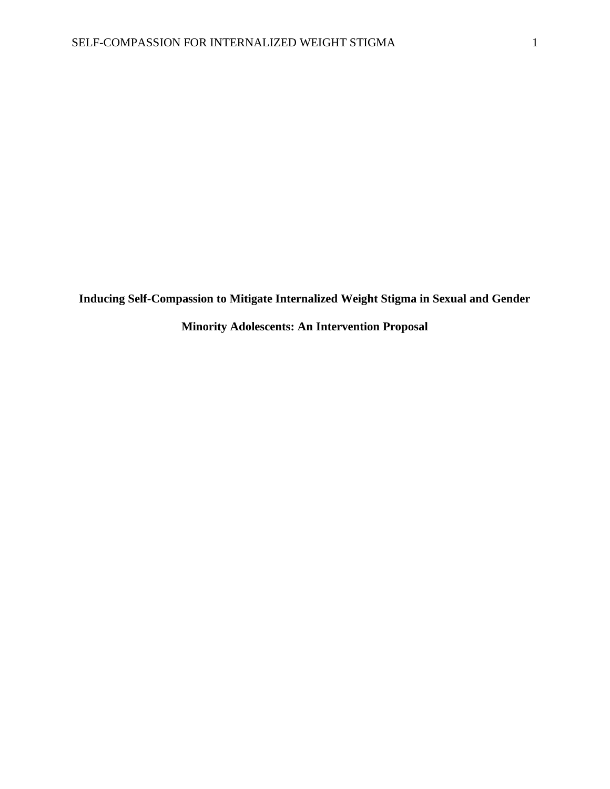**Inducing Self-Compassion to Mitigate Internalized Weight Stigma in Sexual and Gender** 

**Minority Adolescents: An Intervention Proposal**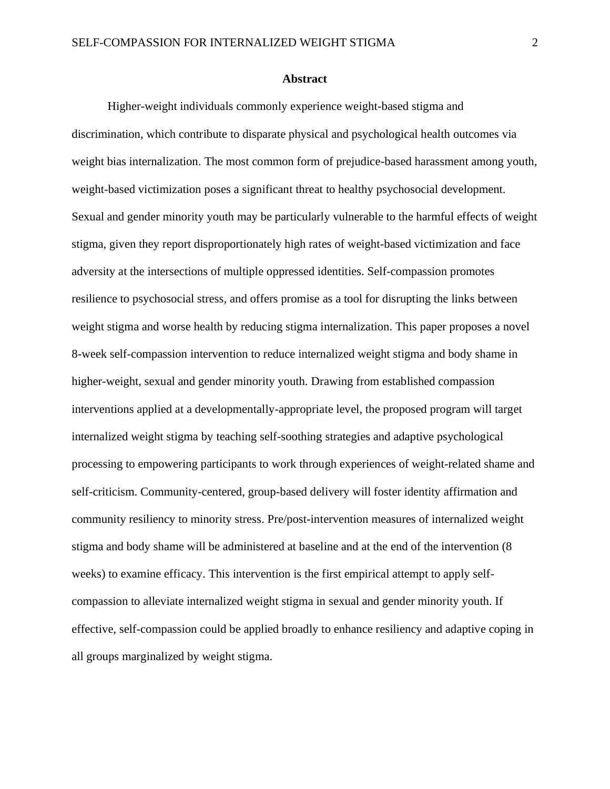#### **Abstract**

Higher-weight individuals commonly experience weight-based stigma and discrimination, which contribute to disparate physical and psychological health outcomes via weight bias internalization. The most common form of prejudice-based harassment among youth, weight-based victimization poses a significant threat to healthy psychosocial development. Sexual and gender minority youth may be particularly vulnerable to the harmful effects of weight stigma, given they report disproportionately high rates of weight-based victimization and face adversity at the intersections of multiple oppressed identities. Self-compassion promotes resilience to psychosocial stress, and offers promise as a tool for disrupting the links between weight stigma and worse health by reducing stigma internalization. This paper proposes a novel 8-week self-compassion intervention to reduce internalized weight stigma and body shame in higher-weight, sexual and gender minority youth. Drawing from established compassion interventions applied at a developmentally-appropriate level, the proposed program will target internalized weight stigma by teaching self-soothing strategies and adaptive psychological processing to empowering participants to work through experiences of weight-related shame and self-criticism. Community-centered, group-based delivery will foster identity affirmation and community resiliency to minority stress. Pre/post-intervention measures of internalized weight stigma and body shame will be administered at baseline and at the end of the intervention (8 weeks) to examine efficacy. This intervention is the first empirical attempt to apply selfcompassion to alleviate internalized weight stigma in sexual and gender minority youth. If effective, self-compassion could be applied broadly to enhance resiliency and adaptive coping in all groups marginalized by weight stigma.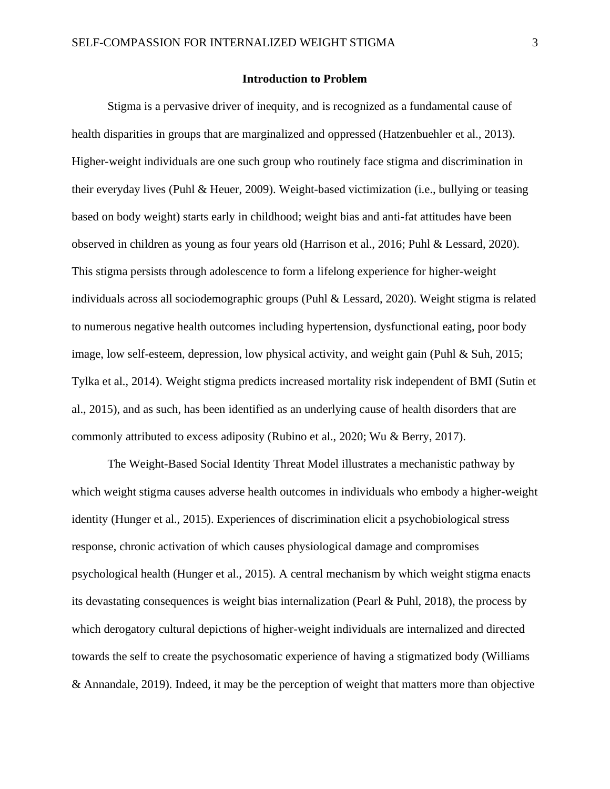#### **Introduction to Problem**

Stigma is a pervasive driver of inequity, and is recognized as a fundamental cause of health disparities in groups that are marginalized and oppressed (Hatzenbuehler et al., 2013). Higher-weight individuals are one such group who routinely face stigma and discrimination in their everyday lives (Puhl & Heuer, 2009). Weight-based victimization (i.e., bullying or teasing based on body weight) starts early in childhood; weight bias and anti-fat attitudes have been observed in children as young as four years old (Harrison et al., 2016; Puhl & Lessard, 2020). This stigma persists through adolescence to form a lifelong experience for higher-weight individuals across all sociodemographic groups (Puhl & Lessard, 2020). Weight stigma is related to numerous negative health outcomes including hypertension, dysfunctional eating, poor body image, low self-esteem, depression, low physical activity, and weight gain (Puhl & Suh, 2015; Tylka et al., 2014). Weight stigma predicts increased mortality risk independent of BMI (Sutin et al., 2015), and as such, has been identified as an underlying cause of health disorders that are commonly attributed to excess adiposity (Rubino et al., 2020; Wu & Berry, 2017).

The Weight-Based Social Identity Threat Model illustrates a mechanistic pathway by which weight stigma causes adverse health outcomes in individuals who embody a higher-weight identity (Hunger et al., 2015). Experiences of discrimination elicit a psychobiological stress response, chronic activation of which causes physiological damage and compromises psychological health (Hunger et al., 2015). A central mechanism by which weight stigma enacts its devastating consequences is weight bias internalization (Pearl & Puhl, 2018), the process by which derogatory cultural depictions of higher-weight individuals are internalized and directed towards the self to create the psychosomatic experience of having a stigmatized body (Williams & Annandale, 2019). Indeed, it may be the perception of weight that matters more than objective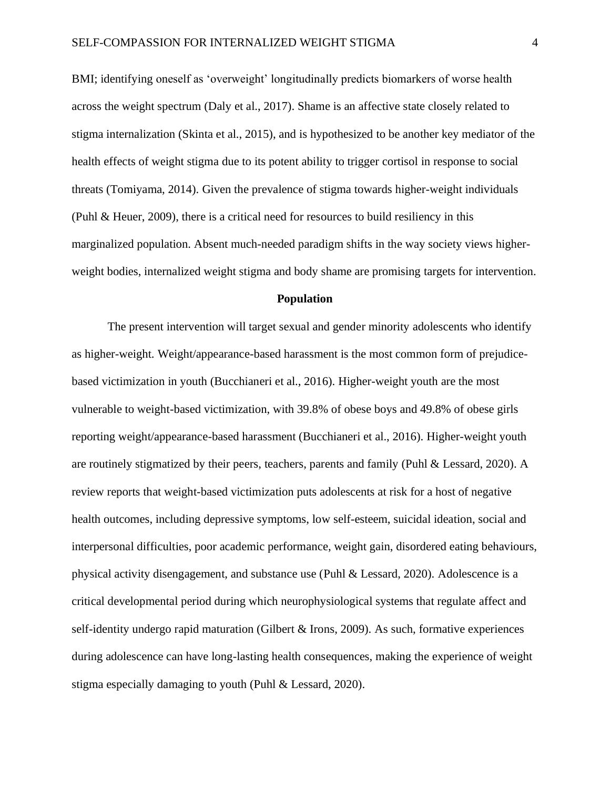BMI; identifying oneself as 'overweight' longitudinally predicts biomarkers of worse health across the weight spectrum (Daly et al., 2017). Shame is an affective state closely related to stigma internalization (Skinta et al., 2015), and is hypothesized to be another key mediator of the health effects of weight stigma due to its potent ability to trigger cortisol in response to social threats (Tomiyama, 2014). Given the prevalence of stigma towards higher-weight individuals (Puhl & Heuer, 2009), there is a critical need for resources to build resiliency in this marginalized population. Absent much-needed paradigm shifts in the way society views higherweight bodies, internalized weight stigma and body shame are promising targets for intervention.

### **Population**

The present intervention will target sexual and gender minority adolescents who identify as higher-weight. Weight/appearance-based harassment is the most common form of prejudicebased victimization in youth (Bucchianeri et al., 2016). Higher-weight youth are the most vulnerable to weight-based victimization, with 39.8% of obese boys and 49.8% of obese girls reporting weight/appearance-based harassment (Bucchianeri et al., 2016). Higher-weight youth are routinely stigmatized by their peers, teachers, parents and family (Puhl & Lessard, 2020). A review reports that weight-based victimization puts adolescents at risk for a host of negative health outcomes, including depressive symptoms, low self-esteem, suicidal ideation, social and interpersonal difficulties, poor academic performance, weight gain, disordered eating behaviours, physical activity disengagement, and substance use (Puhl & Lessard, 2020). Adolescence is a critical developmental period during which neurophysiological systems that regulate affect and self-identity undergo rapid maturation (Gilbert & Irons, 2009). As such, formative experiences during adolescence can have long-lasting health consequences, making the experience of weight stigma especially damaging to youth (Puhl & Lessard, 2020).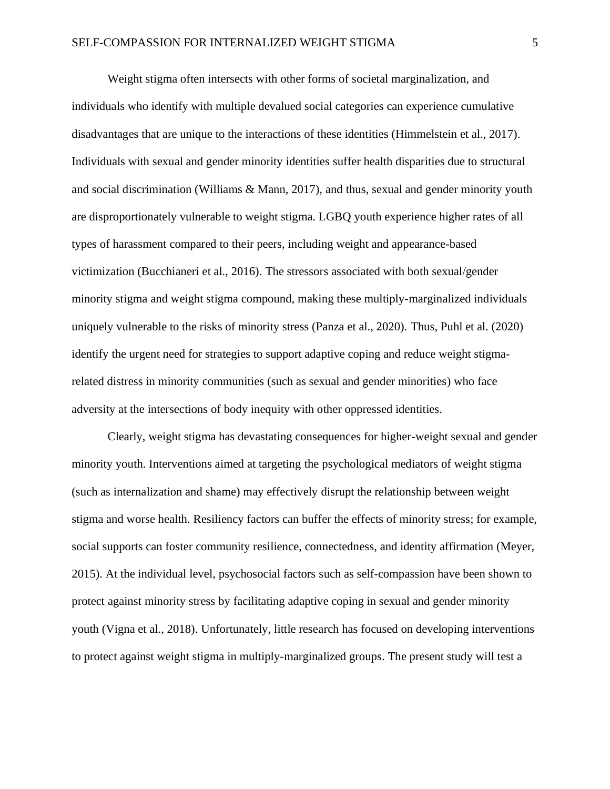Weight stigma often intersects with other forms of societal marginalization, and individuals who identify with multiple devalued social categories can experience cumulative disadvantages that are unique to the interactions of these identities (Himmelstein et al., 2017). Individuals with sexual and gender minority identities suffer health disparities due to structural and social discrimination (Williams & Mann, 2017), and thus, sexual and gender minority youth are disproportionately vulnerable to weight stigma. LGBQ youth experience higher rates of all types of harassment compared to their peers, including weight and appearance-based victimization (Bucchianeri et al., 2016). The stressors associated with both sexual/gender minority stigma and weight stigma compound, making these multiply-marginalized individuals uniquely vulnerable to the risks of minority stress (Panza et al., 2020). Thus, Puhl et al. (2020) identify the urgent need for strategies to support adaptive coping and reduce weight stigmarelated distress in minority communities (such as sexual and gender minorities) who face adversity at the intersections of body inequity with other oppressed identities.

Clearly, weight stigma has devastating consequences for higher-weight sexual and gender minority youth. Interventions aimed at targeting the psychological mediators of weight stigma (such as internalization and shame) may effectively disrupt the relationship between weight stigma and worse health. Resiliency factors can buffer the effects of minority stress; for example, social supports can foster community resilience, connectedness, and identity affirmation (Meyer, 2015). At the individual level, psychosocial factors such as self-compassion have been shown to protect against minority stress by facilitating adaptive coping in sexual and gender minority youth (Vigna et al., 2018). Unfortunately, little research has focused on developing interventions to protect against weight stigma in multiply-marginalized groups. The present study will test a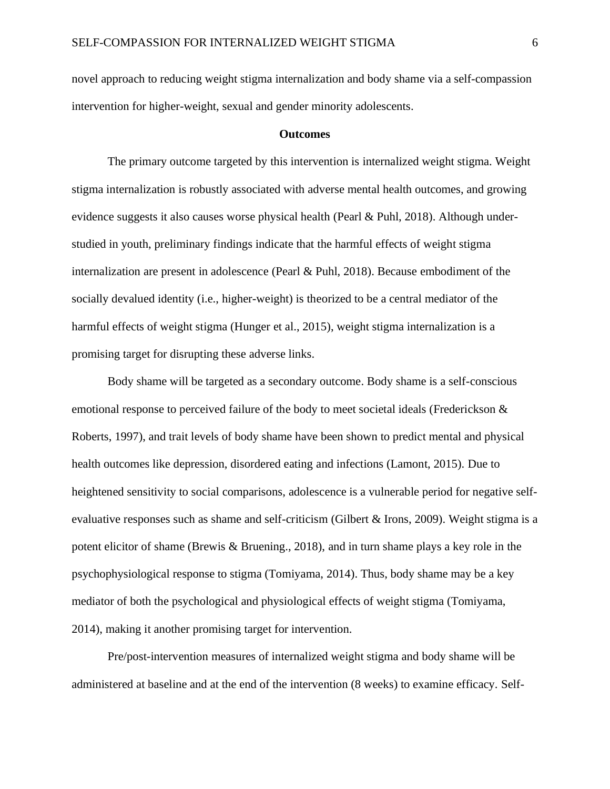novel approach to reducing weight stigma internalization and body shame via a self-compassion intervention for higher-weight, sexual and gender minority adolescents.

#### **Outcomes**

The primary outcome targeted by this intervention is internalized weight stigma. Weight stigma internalization is robustly associated with adverse mental health outcomes, and growing evidence suggests it also causes worse physical health (Pearl & Puhl, 2018). Although understudied in youth, preliminary findings indicate that the harmful effects of weight stigma internalization are present in adolescence (Pearl & Puhl, 2018). Because embodiment of the socially devalued identity (i.e., higher-weight) is theorized to be a central mediator of the harmful effects of weight stigma (Hunger et al., 2015), weight stigma internalization is a promising target for disrupting these adverse links.

Body shame will be targeted as a secondary outcome. Body shame is a self-conscious emotional response to perceived failure of the body to meet societal ideals (Frederickson & Roberts, 1997), and trait levels of body shame have been shown to predict mental and physical health outcomes like depression, disordered eating and infections (Lamont, 2015). Due to heightened sensitivity to social comparisons, adolescence is a vulnerable period for negative selfevaluative responses such as shame and self-criticism (Gilbert & Irons, 2009). Weight stigma is a potent elicitor of shame (Brewis & Bruening., 2018), and in turn shame plays a key role in the psychophysiological response to stigma (Tomiyama, 2014). Thus, body shame may be a key mediator of both the psychological and physiological effects of weight stigma (Tomiyama, 2014), making it another promising target for intervention.

Pre/post-intervention measures of internalized weight stigma and body shame will be administered at baseline and at the end of the intervention (8 weeks) to examine efficacy. Self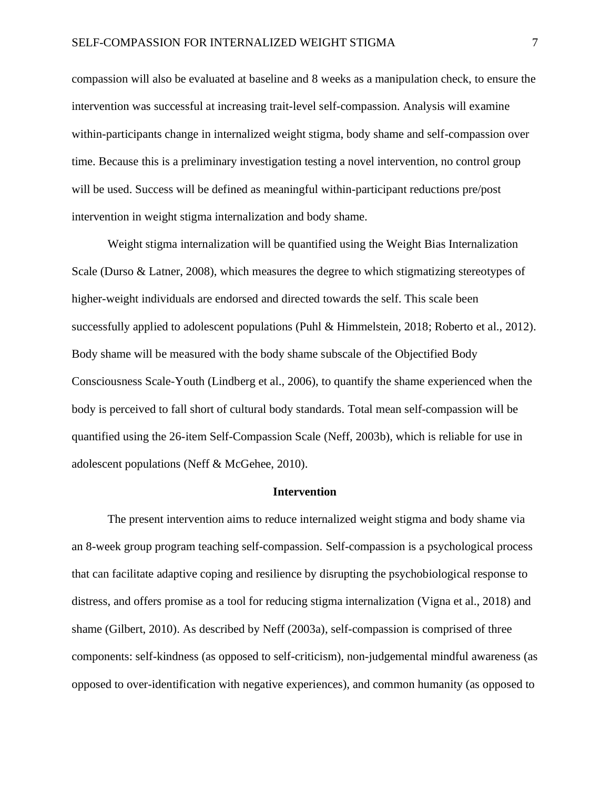compassion will also be evaluated at baseline and 8 weeks as a manipulation check, to ensure the intervention was successful at increasing trait-level self-compassion. Analysis will examine within-participants change in internalized weight stigma, body shame and self-compassion over time. Because this is a preliminary investigation testing a novel intervention, no control group will be used. Success will be defined as meaningful within-participant reductions pre/post intervention in weight stigma internalization and body shame.

Weight stigma internalization will be quantified using the Weight Bias Internalization Scale (Durso & Latner, 2008), which measures the degree to which stigmatizing stereotypes of higher-weight individuals are endorsed and directed towards the self. This scale been successfully applied to adolescent populations (Puhl & Himmelstein, 2018; Roberto et al., 2012). Body shame will be measured with the body shame subscale of the Objectified Body Consciousness Scale-Youth (Lindberg et al., 2006), to quantify the shame experienced when the body is perceived to fall short of cultural body standards. Total mean self-compassion will be quantified using the 26-item Self-Compassion Scale (Neff, 2003b), which is reliable for use in adolescent populations (Neff & McGehee, 2010).

#### **Intervention**

The present intervention aims to reduce internalized weight stigma and body shame via an 8-week group program teaching self-compassion. Self-compassion is a psychological process that can facilitate adaptive coping and resilience by disrupting the psychobiological response to distress, and offers promise as a tool for reducing stigma internalization (Vigna et al., 2018) and shame (Gilbert, 2010). As described by Neff (2003a), self-compassion is comprised of three components: self-kindness (as opposed to self-criticism), non-judgemental mindful awareness (as opposed to over-identification with negative experiences), and common humanity (as opposed to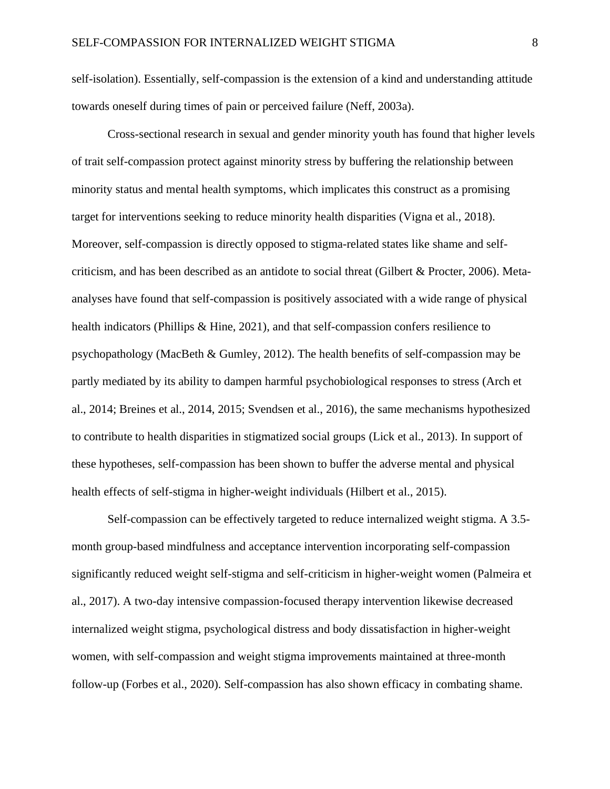self-isolation). Essentially, self-compassion is the extension of a kind and understanding attitude towards oneself during times of pain or perceived failure (Neff, 2003a).

Cross-sectional research in sexual and gender minority youth has found that higher levels of trait self-compassion protect against minority stress by buffering the relationship between minority status and mental health symptoms, which implicates this construct as a promising target for interventions seeking to reduce minority health disparities (Vigna et al., 2018). Moreover, self-compassion is directly opposed to stigma-related states like shame and selfcriticism, and has been described as an antidote to social threat (Gilbert & Procter, 2006). Metaanalyses have found that self-compassion is positively associated with a wide range of physical health indicators (Phillips & Hine, 2021), and that self-compassion confers resilience to psychopathology (MacBeth & Gumley, 2012). The health benefits of self-compassion may be partly mediated by its ability to dampen harmful psychobiological responses to stress (Arch et al., 2014; Breines et al., 2014, 2015; Svendsen et al., 2016), the same mechanisms hypothesized to contribute to health disparities in stigmatized social groups (Lick et al., 2013). In support of these hypotheses, self-compassion has been shown to buffer the adverse mental and physical health effects of self-stigma in higher-weight individuals (Hilbert et al., 2015).

Self-compassion can be effectively targeted to reduce internalized weight stigma. A 3.5 month group-based mindfulness and acceptance intervention incorporating self-compassion significantly reduced weight self-stigma and self-criticism in higher-weight women (Palmeira et al., 2017). A two-day intensive compassion-focused therapy intervention likewise decreased internalized weight stigma, psychological distress and body dissatisfaction in higher-weight women, with self-compassion and weight stigma improvements maintained at three-month follow-up (Forbes et al., 2020). Self-compassion has also shown efficacy in combating shame.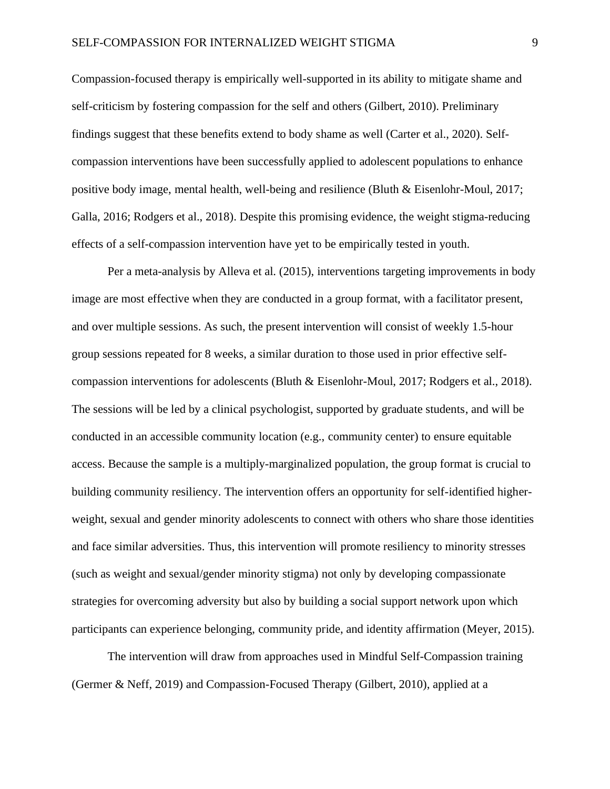Compassion-focused therapy is empirically well-supported in its ability to mitigate shame and self-criticism by fostering compassion for the self and others (Gilbert, 2010). Preliminary findings suggest that these benefits extend to body shame as well (Carter et al., 2020). Selfcompassion interventions have been successfully applied to adolescent populations to enhance positive body image, mental health, well-being and resilience (Bluth & Eisenlohr-Moul, 2017; Galla, 2016; Rodgers et al., 2018). Despite this promising evidence, the weight stigma-reducing effects of a self-compassion intervention have yet to be empirically tested in youth.

Per a meta-analysis by Alleva et al. (2015), interventions targeting improvements in body image are most effective when they are conducted in a group format, with a facilitator present, and over multiple sessions. As such, the present intervention will consist of weekly 1.5-hour group sessions repeated for 8 weeks, a similar duration to those used in prior effective selfcompassion interventions for adolescents (Bluth & Eisenlohr-Moul, 2017; Rodgers et al., 2018). The sessions will be led by a clinical psychologist, supported by graduate students, and will be conducted in an accessible community location (e.g., community center) to ensure equitable access. Because the sample is a multiply-marginalized population, the group format is crucial to building community resiliency. The intervention offers an opportunity for self-identified higherweight, sexual and gender minority adolescents to connect with others who share those identities and face similar adversities. Thus, this intervention will promote resiliency to minority stresses (such as weight and sexual/gender minority stigma) not only by developing compassionate strategies for overcoming adversity but also by building a social support network upon which participants can experience belonging, community pride, and identity affirmation (Meyer, 2015).

The intervention will draw from approaches used in Mindful Self-Compassion training (Germer & Neff, 2019) and Compassion-Focused Therapy (Gilbert, 2010), applied at a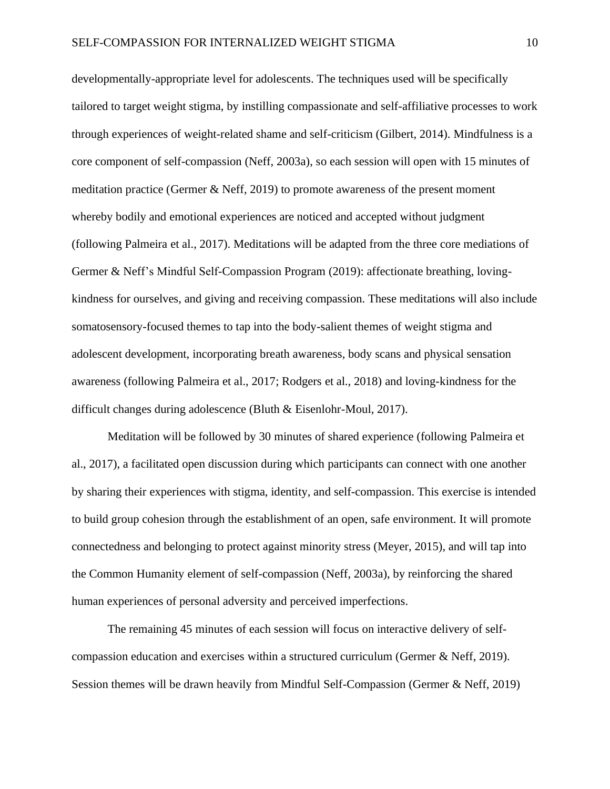developmentally-appropriate level for adolescents. The techniques used will be specifically tailored to target weight stigma, by instilling compassionate and self-affiliative processes to work through experiences of weight-related shame and self-criticism (Gilbert, 2014). Mindfulness is a core component of self-compassion (Neff, 2003a), so each session will open with 15 minutes of meditation practice (Germer & Neff, 2019) to promote awareness of the present moment whereby bodily and emotional experiences are noticed and accepted without judgment (following Palmeira et al., 2017). Meditations will be adapted from the three core mediations of Germer & Neff's Mindful Self-Compassion Program (2019): affectionate breathing, lovingkindness for ourselves, and giving and receiving compassion. These meditations will also include somatosensory-focused themes to tap into the body-salient themes of weight stigma and adolescent development, incorporating breath awareness, body scans and physical sensation awareness (following Palmeira et al., 2017; Rodgers et al., 2018) and loving-kindness for the difficult changes during adolescence (Bluth & Eisenlohr-Moul, 2017).

Meditation will be followed by 30 minutes of shared experience (following Palmeira et al., 2017), a facilitated open discussion during which participants can connect with one another by sharing their experiences with stigma, identity, and self-compassion. This exercise is intended to build group cohesion through the establishment of an open, safe environment. It will promote connectedness and belonging to protect against minority stress (Meyer, 2015), and will tap into the Common Humanity element of self-compassion (Neff, 2003a), by reinforcing the shared human experiences of personal adversity and perceived imperfections.

The remaining 45 minutes of each session will focus on interactive delivery of selfcompassion education and exercises within a structured curriculum (Germer & Neff, 2019). Session themes will be drawn heavily from Mindful Self-Compassion (Germer & Neff, 2019)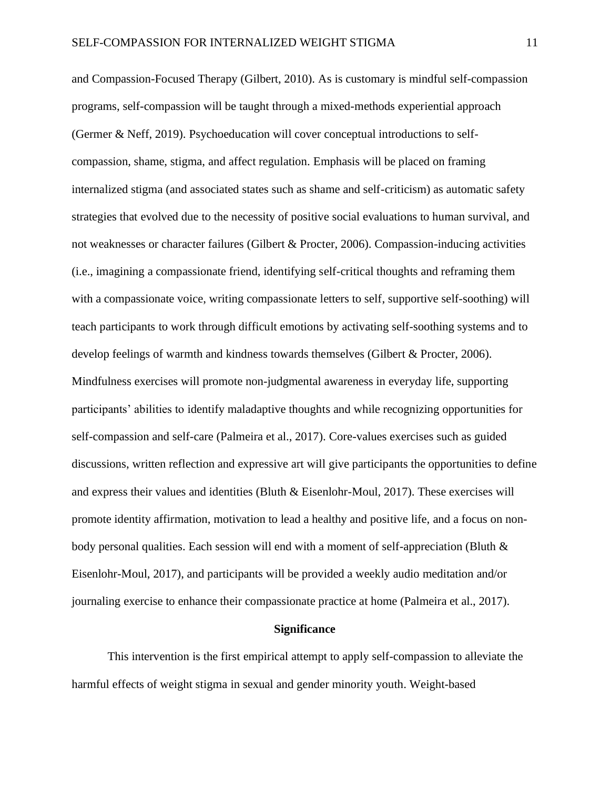and Compassion-Focused Therapy (Gilbert, 2010). As is customary is mindful self-compassion programs, self-compassion will be taught through a mixed-methods experiential approach (Germer & Neff, 2019). Psychoeducation will cover conceptual introductions to selfcompassion, shame, stigma, and affect regulation. Emphasis will be placed on framing internalized stigma (and associated states such as shame and self-criticism) as automatic safety strategies that evolved due to the necessity of positive social evaluations to human survival, and not weaknesses or character failures (Gilbert & Procter, 2006). Compassion-inducing activities (i.e., imagining a compassionate friend, identifying self-critical thoughts and reframing them with a compassionate voice, writing compassionate letters to self, supportive self-soothing) will teach participants to work through difficult emotions by activating self-soothing systems and to develop feelings of warmth and kindness towards themselves (Gilbert & Procter, 2006). Mindfulness exercises will promote non-judgmental awareness in everyday life, supporting participants' abilities to identify maladaptive thoughts and while recognizing opportunities for self-compassion and self-care (Palmeira et al., 2017). Core-values exercises such as guided discussions, written reflection and expressive art will give participants the opportunities to define and express their values and identities (Bluth & Eisenlohr-Moul, 2017). These exercises will promote identity affirmation, motivation to lead a healthy and positive life, and a focus on nonbody personal qualities. Each session will end with a moment of self-appreciation (Bluth  $\&$ Eisenlohr-Moul, 2017), and participants will be provided a weekly audio meditation and/or journaling exercise to enhance their compassionate practice at home (Palmeira et al., 2017).

#### **Significance**

This intervention is the first empirical attempt to apply self-compassion to alleviate the harmful effects of weight stigma in sexual and gender minority youth. Weight-based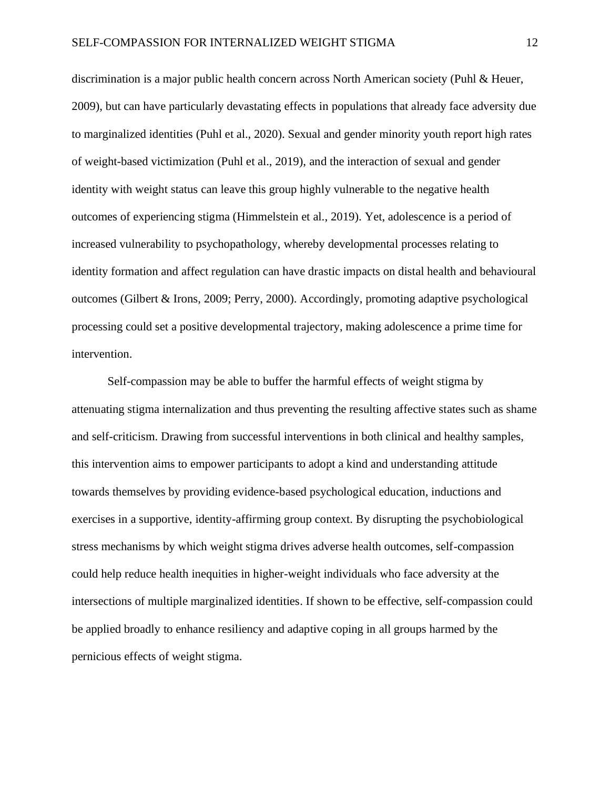discrimination is a major public health concern across North American society (Puhl & Heuer, 2009), but can have particularly devastating effects in populations that already face adversity due to marginalized identities (Puhl et al., 2020). Sexual and gender minority youth report high rates of weight-based victimization (Puhl et al., 2019), and the interaction of sexual and gender identity with weight status can leave this group highly vulnerable to the negative health outcomes of experiencing stigma (Himmelstein et al., 2019). Yet, adolescence is a period of increased vulnerability to psychopathology, whereby developmental processes relating to identity formation and affect regulation can have drastic impacts on distal health and behavioural outcomes (Gilbert & Irons, 2009; Perry, 2000). Accordingly, promoting adaptive psychological processing could set a positive developmental trajectory, making adolescence a prime time for intervention.

Self-compassion may be able to buffer the harmful effects of weight stigma by attenuating stigma internalization and thus preventing the resulting affective states such as shame and self-criticism. Drawing from successful interventions in both clinical and healthy samples, this intervention aims to empower participants to adopt a kind and understanding attitude towards themselves by providing evidence-based psychological education, inductions and exercises in a supportive, identity-affirming group context. By disrupting the psychobiological stress mechanisms by which weight stigma drives adverse health outcomes, self-compassion could help reduce health inequities in higher-weight individuals who face adversity at the intersections of multiple marginalized identities. If shown to be effective, self-compassion could be applied broadly to enhance resiliency and adaptive coping in all groups harmed by the pernicious effects of weight stigma.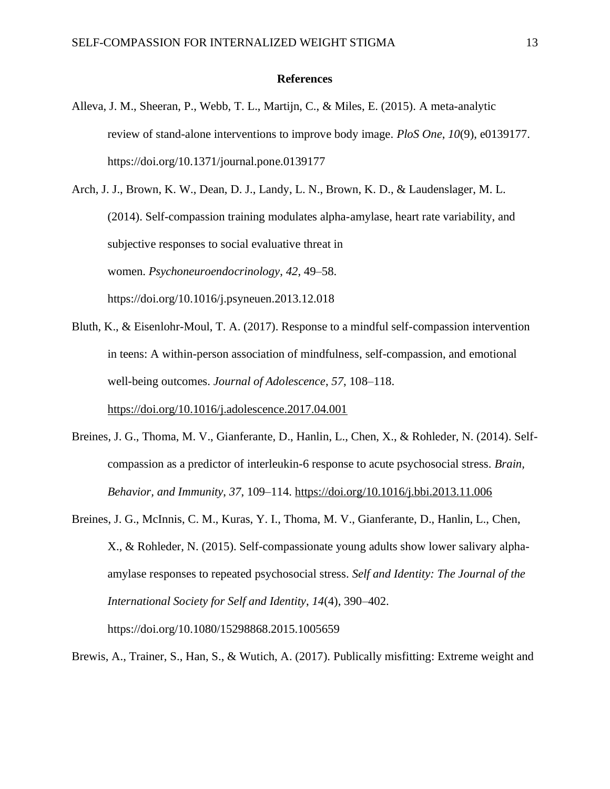#### **References**

Alleva, J. M., Sheeran, P., Webb, T. L., Martijn, C., & Miles, E. (2015). A meta-analytic review of stand-alone interventions to improve body image. *PloS One*, *10*(9), e0139177. https://doi.org/10.1371/journal.pone.0139177

Arch, J. J., Brown, K. W., Dean, D. J., Landy, L. N., Brown, K. D., & Laudenslager, M. L. (2014). Self-compassion training modulates alpha-amylase, heart rate variability, and subjective responses to social evaluative threat in women. *Psychoneuroendocrinology*, *42*, 49–58. https://doi.org/10.1016/j.psyneuen.2013.12.018

- Bluth, K., & Eisenlohr-Moul, T. A. (2017). Response to a mindful self-compassion intervention in teens: A within-person association of mindfulness, self-compassion, and emotional well-being outcomes. *Journal of Adolescence*, *57*, 108–118. <https://doi.org/10.1016/j.adolescence.2017.04.001>
- Breines, J. G., Thoma, M. V., Gianferante, D., Hanlin, L., Chen, X., & Rohleder, N. (2014). Selfcompassion as a predictor of interleukin-6 response to acute psychosocial stress. *Brain, Behavior, and Immunity*, *37*, 109–114.<https://doi.org/10.1016/j.bbi.2013.11.006>
- Breines, J. G., McInnis, C. M., Kuras, Y. I., Thoma, M. V., Gianferante, D., Hanlin, L., Chen, X., & Rohleder, N. (2015). Self-compassionate young adults show lower salivary alphaamylase responses to repeated psychosocial stress. *Self and Identity: The Journal of the International Society for Self and Identity*, *14*(4), 390–402. https://doi.org/10.1080/15298868.2015.1005659

Brewis, A., Trainer, S., Han, S., & Wutich, A. (2017). Publically misfitting: Extreme weight and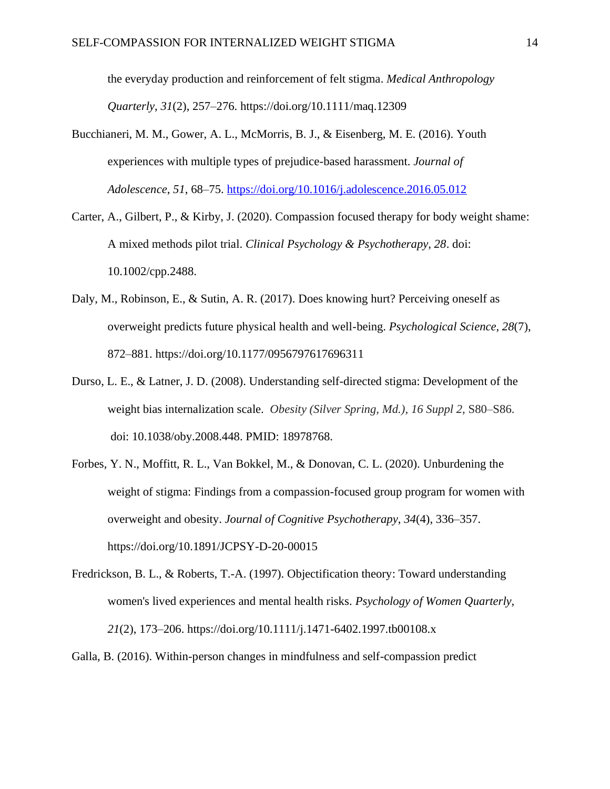the everyday production and reinforcement of felt stigma. *Medical Anthropology Quarterly*, *31*(2), 257–276. https://doi.org/10.1111/maq.12309

- Bucchianeri, M. M., Gower, A. L., McMorris, B. J., & Eisenberg, M. E. (2016). Youth experiences with multiple types of prejudice-based harassment. *Journal of Adolescence*, *51*, 68–75.<https://doi.org/10.1016/j.adolescence.2016.05.012>
- Carter, A., Gilbert, P., & Kirby, J. (2020). Compassion focused therapy for body weight shame: A mixed methods pilot trial. *Clinical Psychology & Psychotherapy, 28*. doi: 10.1002/cpp.2488.
- Daly, M., Robinson, E., & Sutin, A. R. (2017). Does knowing hurt? Perceiving oneself as overweight predicts future physical health and well-being. *Psychological Science*, *28*(7), 872–881. https://doi.org/10.1177/0956797617696311
- Durso, L. E., & Latner, J. D. (2008). Understanding self-directed stigma: Development of the weight bias internalization scale. *Obesity (Silver Spring, Md.)*, *16 Suppl 2*, S80–S86. doi: 10.1038/oby.2008.448. PMID: 18978768.
- Forbes, Y. N., Moffitt, R. L., Van Bokkel, M., & Donovan, C. L. (2020). Unburdening the weight of stigma: Findings from a compassion-focused group program for women with overweight and obesity. *Journal of Cognitive Psychotherapy*, *34*(4), 336–357. https://doi.org/10.1891/JCPSY-D-20-00015
- Fredrickson, B. L., & Roberts, T.-A. (1997). Objectification theory: Toward understanding women's lived experiences and mental health risks. *Psychology of Women Quarterly, 21*(2), 173–206. [https://doi.org/10.1111/j.1471-6402.1997.tb00108.x](https://psycnet.apa.org/doi/10.1111/j.1471-6402.1997.tb00108.x)
- Galla, B. (2016). Within-person changes in mindfulness and self-compassion predict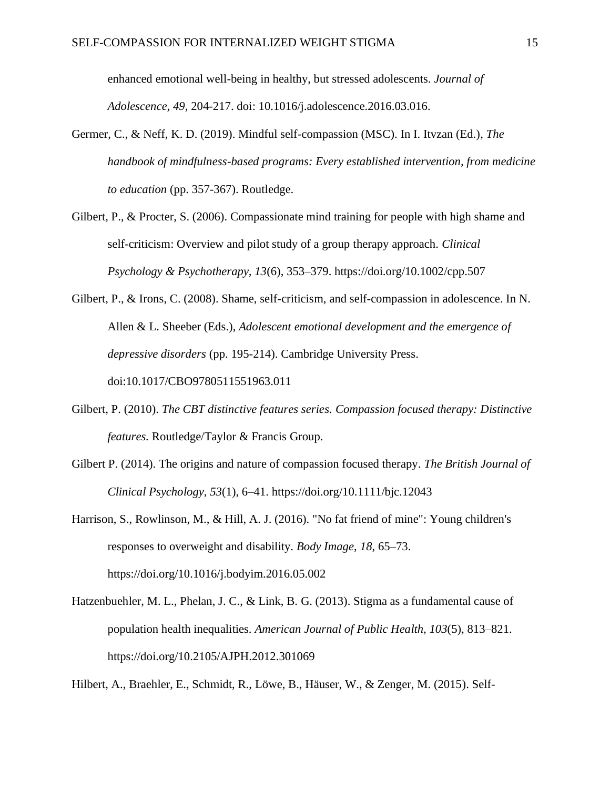enhanced emotional well-being in healthy, but stressed adolescents. *Journal of Adolescence, 49,* 204-217. doi: 10.1016/j.adolescence.2016.03.016.

- Germer, C., & Neff, K. D. (2019). Mindful self-compassion (MSC). In I. Itvzan (Ed.), *The handbook of mindfulness-based programs: Every established intervention, from medicine to education* (pp. 357-367). Routledge.
- Gilbert, P., & Procter, S. (2006). Compassionate mind training for people with high shame and self-criticism: Overview and pilot study of a group therapy approach. *Clinical Psychology & Psychotherapy, 13*(6), 353–379. [https://doi.org/10.1002/cpp.507](https://psycnet.apa.org/doi/10.1002/cpp.507)
- Gilbert, P., & Irons, C. (2008). Shame, self-criticism, and self-compassion in adolescence. In N. Allen & L. Sheeber (Eds.), *Adolescent emotional development and the emergence of depressive disorders* (pp. 195-214). Cambridge University Press. doi:10.1017/CBO9780511551963.011
- Gilbert, P. (2010). *The CBT distinctive features series. Compassion focused therapy: Distinctive features.* Routledge/Taylor & Francis Group.
- Gilbert P. (2014). The origins and nature of compassion focused therapy. *The British Journal of Clinical Psychology*, *53*(1), 6–41. https://doi.org/10.1111/bjc.12043
- Harrison, S., Rowlinson, M., & Hill, A. J. (2016). "No fat friend of mine": Young children's responses to overweight and disability. *Body Image*, *18*, 65–73. https://doi.org/10.1016/j.bodyim.2016.05.002
- Hatzenbuehler, M. L., Phelan, J. C., & Link, B. G. (2013). Stigma as a fundamental cause of population health inequalities. *American Journal of Public Health*, *103*(5), 813–821. https://doi.org/10.2105/AJPH.2012.301069

Hilbert, A., Braehler, E., Schmidt, R., Löwe, B., Häuser, W., & Zenger, M. (2015). Self-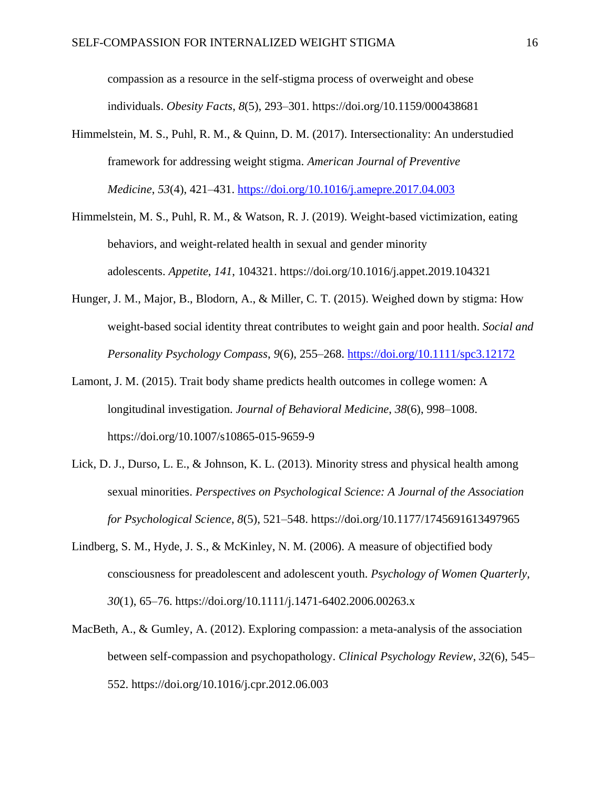compassion as a resource in the self-stigma process of overweight and obese individuals. *Obesity Facts*, *8*(5), 293–301. https://doi.org/10.1159/000438681

- Himmelstein, M. S., Puhl, R. M., & Quinn, D. M. (2017). Intersectionality: An understudied framework for addressing weight stigma. *American Journal of Preventive Medicine*, *53*(4), 421–431.<https://doi.org/10.1016/j.amepre.2017.04.003>
- Himmelstein, M. S., Puhl, R. M., & Watson, R. J. (2019). Weight-based victimization, eating behaviors, and weight-related health in sexual and gender minority adolescents. *Appetite*, *141*, 104321. https://doi.org/10.1016/j.appet.2019.104321
- Hunger, J. M., Major, B., Blodorn, A., & Miller, C. T. (2015). Weighed down by stigma: How weight-based social identity threat contributes to weight gain and poor health. *Social and Personality Psychology Compass*, *9*(6), 255–268.<https://doi.org/10.1111/spc3.12172>
- Lamont, J. M. (2015). Trait body shame predicts health outcomes in college women: A longitudinal investigation. *Journal of Behavioral Medicine*, *38*(6), 998–1008. https://doi.org/10.1007/s10865-015-9659-9
- Lick, D. J., Durso, L. E., & Johnson, K. L. (2013). Minority stress and physical health among sexual minorities. *Perspectives on Psychological Science: A Journal of the Association for Psychological Science*, *8*(5), 521–548. https://doi.org/10.1177/1745691613497965
- Lindberg, S. M., Hyde, J. S., & McKinley, N. M. (2006). A measure of objectified body consciousness for preadolescent and adolescent youth. *Psychology of Women Quarterly, 30*(1), 65–76. [https://doi.org/10.1111/j.1471-6402.2006.00263.x](https://psycnet.apa.org/doi/10.1111/j.1471-6402.2006.00263.x)
- MacBeth, A., & Gumley, A. (2012). Exploring compassion: a meta-analysis of the association between self-compassion and psychopathology. *Clinical Psychology Review*, *32*(6), 545– 552. https://doi.org/10.1016/j.cpr.2012.06.003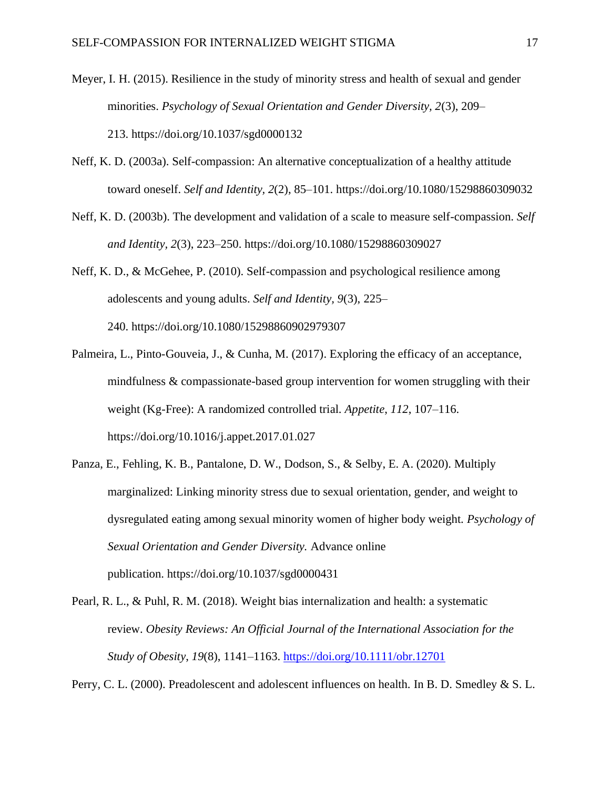- Meyer, I. H. (2015). Resilience in the study of minority stress and health of sexual and gender minorities. *Psychology of Sexual Orientation and Gender Diversity, 2*(3), 209– 213. [https://doi.org/10.1037/sgd0000132](https://psycnet.apa.org/doi/10.1037/sgd0000132)
- Neff, K. D. (2003a). Self-compassion: An alternative conceptualization of a healthy attitude toward oneself. *Self and Identity, 2*(2), 85–101. [https://doi.org/10.1080/15298860309032](https://psycnet.apa.org/doi/10.1080/15298860309032)
- Neff, K. D. (2003b). The development and validation of a scale to measure self-compassion. *Self and Identity, 2*(3), 223–250. [https://doi.org/10.1080/15298860309027](https://psycnet.apa.org/doi/10.1080/15298860309027)
- Neff, K. D., & McGehee, P. (2010). Self-compassion and psychological resilience among adolescents and young adults. *Self and Identity, 9*(3), 225– 240. [https://doi.org/10.1080/15298860902979307](https://psycnet.apa.org/doi/10.1080/15298860902979307)
- Palmeira, L., Pinto-Gouveia, J., & Cunha, M. (2017). Exploring the efficacy of an acceptance, mindfulness & compassionate-based group intervention for women struggling with their weight (Kg-Free): A randomized controlled trial. *Appetite*, *112*, 107–116. https://doi.org/10.1016/j.appet.2017.01.027
- Panza, E., Fehling, K. B., Pantalone, D. W., Dodson, S., & Selby, E. A. (2020). Multiply marginalized: Linking minority stress due to sexual orientation, gender, and weight to dysregulated eating among sexual minority women of higher body weight. *Psychology of Sexual Orientation and Gender Diversity.* Advance online publication. [https://doi.org/10.1037/sgd0000431](https://psycnet.apa.org/doi/10.1037/sgd0000431)
- Pearl, R. L., & Puhl, R. M. (2018). Weight bias internalization and health: a systematic review. *Obesity Reviews: An Official Journal of the International Association for the Study of Obesity*, *19*(8), 1141–1163.<https://doi.org/10.1111/obr.12701>

Perry, C. L. (2000). Preadolescent and adolescent influences on health. In B. D. Smedley & S. L.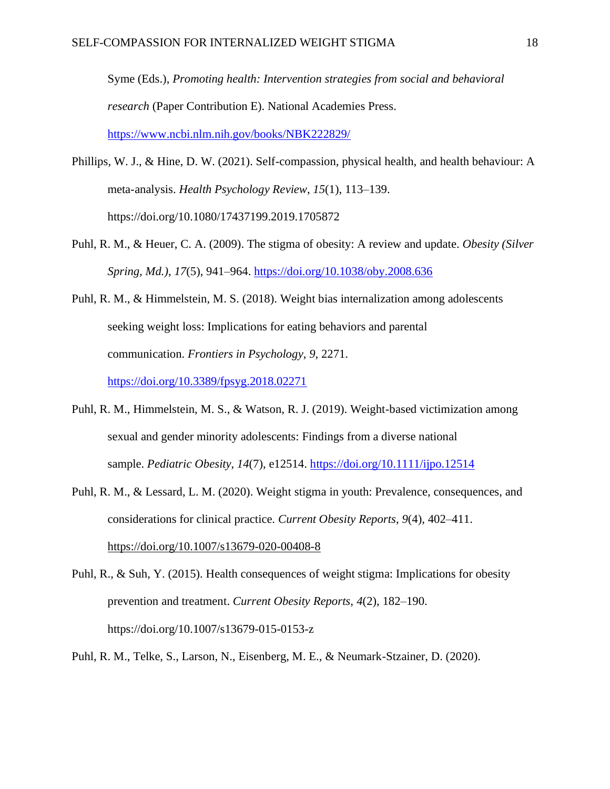Syme (Eds.), *Promoting health: Intervention strategies from social and behavioral research* (Paper Contribution E). National Academies Press. <https://www.ncbi.nlm.nih.gov/books/NBK222829/>

- Phillips, W. J., & Hine, D. W. (2021). Self-compassion, physical health, and health behaviour: A meta-analysis. *Health Psychology Review*, *15*(1), 113–139. https://doi.org/10.1080/17437199.2019.1705872
- Puhl, R. M., & Heuer, C. A. (2009). The stigma of obesity: A review and update. *Obesity (Silver Spring, Md.)*, *17*(5), 941–964.<https://doi.org/10.1038/oby.2008.636>
- Puhl, R. M., & Himmelstein, M. S. (2018). Weight bias internalization among adolescents seeking weight loss: Implications for eating behaviors and parental communication. *Frontiers in Psychology*, *9*, 2271. <https://doi.org/10.3389/fpsyg.2018.02271>
- Puhl, R. M., Himmelstein, M. S., & Watson, R. J. (2019). Weight-based victimization among sexual and gender minority adolescents: Findings from a diverse national sample. *Pediatric Obesity*, *14*(7), e12514.<https://doi.org/10.1111/ijpo.12514>
- Puhl, R. M., & Lessard, L. M. (2020). Weight stigma in youth: Prevalence, consequences, and considerations for clinical practice. *Current Obesity Reports*, *9*(4), 402–411. <https://doi.org/10.1007/s13679-020-00408-8>

Puhl, R., & Suh, Y. (2015). Health consequences of weight stigma: Implications for obesity prevention and treatment. *Current Obesity Reports*, *4*(2), 182–190. https://doi.org/10.1007/s13679-015-0153-z

Puhl, R. M., Telke, S., Larson, N., Eisenberg, M. E., & Neumark-Stzainer, D. (2020).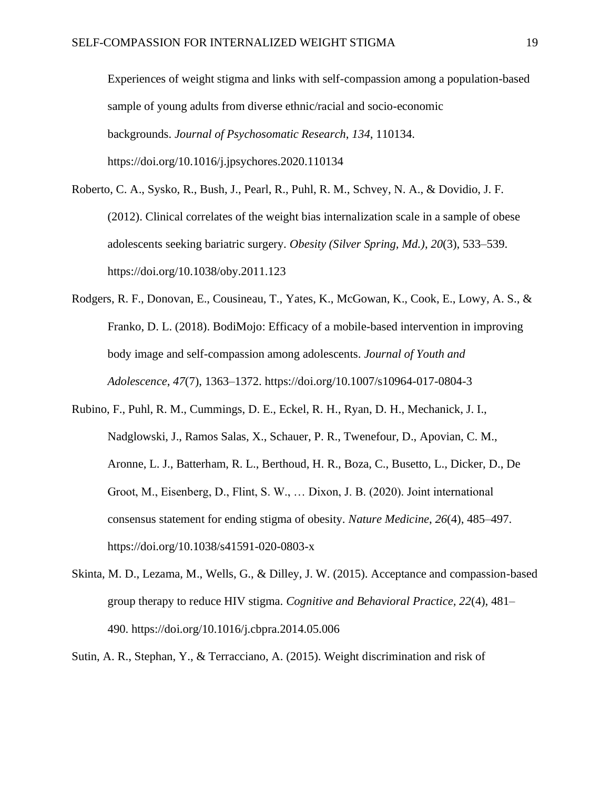Experiences of weight stigma and links with self-compassion among a population-based sample of young adults from diverse ethnic/racial and socio-economic backgrounds. *Journal of Psychosomatic Research*, *134*, 110134. https://doi.org/10.1016/j.jpsychores.2020.110134

- Roberto, C. A., Sysko, R., Bush, J., Pearl, R., Puhl, R. M., Schvey, N. A., & Dovidio, J. F. (2012). Clinical correlates of the weight bias internalization scale in a sample of obese adolescents seeking bariatric surgery. *Obesity (Silver Spring, Md.)*, *20*(3), 533–539. https://doi.org/10.1038/oby.2011.123
- Rodgers, R. F., Donovan, E., Cousineau, T., Yates, K., McGowan, K., Cook, E., Lowy, A. S., & Franko, D. L. (2018). BodiMojo: Efficacy of a mobile-based intervention in improving body image and self-compassion among adolescents. *Journal of Youth and Adolescence*, *47*(7), 1363–1372. https://doi.org/10.1007/s10964-017-0804-3
- Rubino, F., Puhl, R. M., Cummings, D. E., Eckel, R. H., Ryan, D. H., Mechanick, J. I., Nadglowski, J., Ramos Salas, X., Schauer, P. R., Twenefour, D., Apovian, C. M., Aronne, L. J., Batterham, R. L., Berthoud, H. R., Boza, C., Busetto, L., Dicker, D., De Groot, M., Eisenberg, D., Flint, S. W., … Dixon, J. B. (2020). Joint international consensus statement for ending stigma of obesity. *Nature Medicine*, *26*(4), 485–497. https://doi.org/10.1038/s41591-020-0803-x
- Skinta, M. D., Lezama, M., Wells, G., & Dilley, J. W. (2015). Acceptance and compassion-based group therapy to reduce HIV stigma. *Cognitive and Behavioral Practice, 22*(4), 481– 490. [https://doi.org/10.1016/j.cbpra.2014.05.006](https://psycnet.apa.org/doi/10.1016/j.cbpra.2014.05.006)
- Sutin, A. R., Stephan, Y., & Terracciano, A. (2015). Weight discrimination and risk of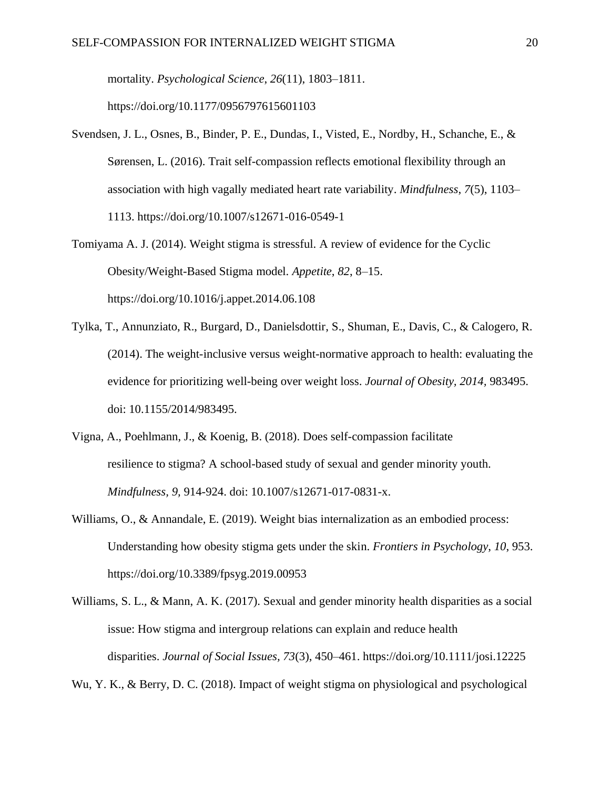mortality. *Psychological Science*, *26*(11), 1803–1811.

https://doi.org/10.1177/0956797615601103

- Svendsen, J. L., Osnes, B., Binder, P. E., Dundas, I., Visted, E., Nordby, H., Schanche, E., & Sørensen, L. (2016). Trait self-compassion reflects emotional flexibility through an association with high vagally mediated heart rate variability. *Mindfulness*, *7*(5), 1103– 1113. https://doi.org/10.1007/s12671-016-0549-1
- Tomiyama A. J. (2014). Weight stigma is stressful. A review of evidence for the Cyclic Obesity/Weight-Based Stigma model. *Appetite*, *82*, 8–15. https://doi.org/10.1016/j.appet.2014.06.108
- Tylka, T., Annunziato, R., Burgard, D., Danielsdottir, S., Shuman, E., Davis, C., & Calogero, R. (2014). The weight-inclusive versus weight-normative approach to health: evaluating the evidence for prioritizing well-being over weight loss. *Journal of Obesity, 2014,* 983495. doi: 10.1155/2014/983495.
- Vigna, A., Poehlmann, J., & Koenig, B. (2018). Does self-compassion facilitate resilience to stigma? A school-based study of sexual and gender minority youth. *Mindfulness, 9,* 914-924. doi: 10.1007/s12671-017-0831-x.
- Williams, O., & Annandale, E. (2019). Weight bias internalization as an embodied process: Understanding how obesity stigma gets under the skin. *Frontiers in Psychology*, *10*, 953. https://doi.org/10.3389/fpsyg.2019.00953
- Williams, S. L., & Mann, A. K. (2017). Sexual and gender minority health disparities as a social issue: How stigma and intergroup relations can explain and reduce health disparities. *Journal of Social Issues, 73*(3), 450–461. [https://doi.org/10.1111/josi.12225](https://psycnet.apa.org/doi/10.1111/josi.12225)

Wu, Y. K., & Berry, D. C. (2018). Impact of weight stigma on physiological and psychological